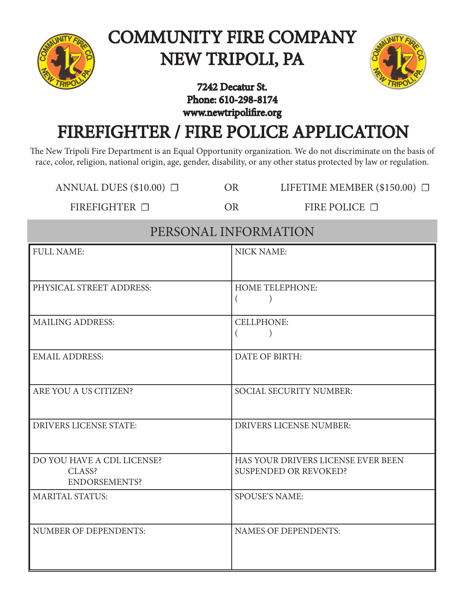

# COMMUNITY FIRE COMPANY NEW TRIPOLI, PA



### 7242 Decatur St. Phone: 610-298-8174 www.newtripolifire.org

# FIREFIGHTER / FIRE POLICE APPLICATION

The New Tripoli Fire Department is an Equal Opportunity organization. We do not discriminate on the basis of race, color, religion, national origin, age, gender, disability, or any other status protected by law or regulation.

ANNUAL DUES (\$10.00)  $\Box$  OR LIFETIME MEMBER (\$150.00)  $\Box$ 

FIREFIGHTER □ OR FIRE POLICE □

| PERSONAL INFORMATION                                  |                                                                    |  |  |
|-------------------------------------------------------|--------------------------------------------------------------------|--|--|
| <b>FULL NAME:</b>                                     | <b>NICK NAME:</b>                                                  |  |  |
| PHYSICAL STREET ADDRESS:                              | <b>HOME TELEPHONE:</b><br>$\overline{ }$                           |  |  |
| <b>MAILING ADDRESS:</b>                               | <b>CELLPHONE:</b>                                                  |  |  |
| <b>EMAIL ADDRESS:</b>                                 | DATE OF BIRTH:                                                     |  |  |
| ARE YOU A US CITIZEN?                                 | <b>SOCIAL SECURITY NUMBER:</b>                                     |  |  |
| <b>DRIVERS LICENSE STATE:</b>                         | <b>DRIVERS LICENSE NUMBER:</b>                                     |  |  |
| DO YOU HAVE A CDL LICENSE?<br>CLASS?<br>ENDORSEMENTS? | HAS YOUR DRIVERS LICENSE EVER BEEN<br><b>SUSPENDED OR REVOKED?</b> |  |  |
| <b>MARITAL STATUS:</b>                                | <b>SPOUSE'S NAME:</b>                                              |  |  |
| <b>NUMBER OF DEPENDENTS:</b>                          | <b>NAMES OF DEPENDENTS:</b>                                        |  |  |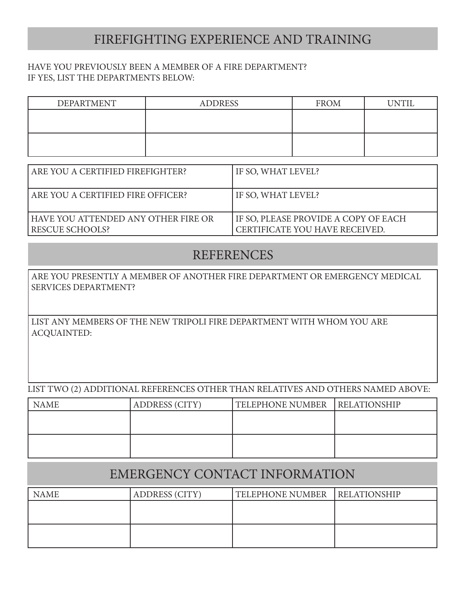## FIREFIGHTING EXPERIENCE AND TRAINING

#### HAVE YOU PREVIOUSLY BEEN A MEMBER OF A FIRE DEPARTMENT? IF YES, LIST THE DEPARTMENTS BELOW:

| <b>DEPARTMENT</b> | <b>ADDRESS</b> | <b>FROM</b> | <b>IJNTIL</b> |
|-------------------|----------------|-------------|---------------|
|                   |                |             |               |
|                   |                |             |               |
|                   |                |             |               |
|                   |                |             |               |

| ARE YOU A CERTIFIED FIREFIGHTER?                                | IF SO, WHAT LEVEL?                                                       |
|-----------------------------------------------------------------|--------------------------------------------------------------------------|
| ARE YOU A CERTIFIED FIRE OFFICER?                               | IF SO, WHAT LEVEL?                                                       |
| l have you attended any other fire or<br><b>RESCUE SCHOOLS?</b> | I IF SO, PLEASE PROVIDE A COPY OF EACH<br>CERTIFICATE YOU HAVE RECEIVED. |

### REFERENCES

ARE YOU PRESENTLY A MEMBER OF ANOTHER FIRE DEPARTMENT OR EMERGENCY MEDICAL SERVICES DEPARTMENT?

LIST ANY MEMBERS OF THE NEW TRIPOLI FIRE DEPARTMENT WITH WHOM YOU ARE ACQUAINTED:

LIST TWO (2) ADDITIONAL REFERENCES OTHER THAN RELATIVES AND OTHERS NAMED ABOVE:

| <b>NAME</b> | <b>ADDRESS (CITY)</b> | <b>TELEPHONE NUMBER</b> | <b>RELATIONSHIP</b> |
|-------------|-----------------------|-------------------------|---------------------|
|             |                       |                         |                     |
|             |                       |                         |                     |
|             |                       |                         |                     |
|             |                       |                         |                     |

# EMERGENCY CONTACT INFORMATION

| <b>NAME</b> | <b>ADDRESS (CITY)</b> | <b>TELEPHONE NUMBER</b> | <b>RELATIONSHIP</b> |
|-------------|-----------------------|-------------------------|---------------------|
|             |                       |                         |                     |
|             |                       |                         |                     |
|             |                       |                         |                     |
|             |                       |                         |                     |